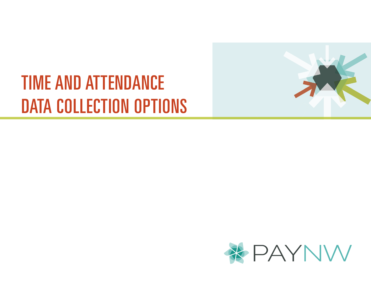# TIME AND ATTENDANCE DATA COLLECTION OPTIONS



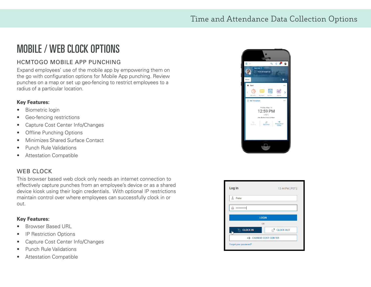### MOBILE / WEB CLOCK OPTIONS

### HCMTOGO MOBILE APP PUNCHING

Expand employees' use of the mobile app by empowering them on the go with configuration options for Mobile App punching. Review punches on a map or set up geo-fencing to restrict employees to a radius of a particular location.

#### **Key Features:**

- Biometric login
- Geo-fencing restrictions
- Capture Cost Center Info/Changes
- Offline Punching Options
- Minimizes Shared Surface Contact
- Punch Rule Validations
- Attestation Compatible

#### WEB CLOCK

This browser based web clock only needs an internet connection to effectively capture punches from an employee's device or as a shared device kiosk using their login credentials. With optional IP restrictions maintain control over where employees can successfully clock in or out.

#### **Key Features:**

- Browser Based URL
- IP Restriction Options
- Capture Cost Center Info/Changes
- Punch Rule Validations
- Attestation Compatible



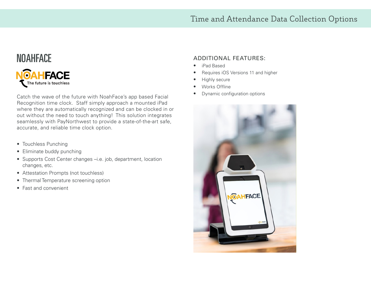### Time and Attendance Data Collection Options

## **NOAHFACE** The future is touchless

Catch the wave of the future with NoahFace's app based Facial Recognition time clock. Staff simply approach a mounted iPad where they are automatically recognized and can be clocked in or out without the need to touch anything! This solution integrates seamlessly with PayNorthwest to provide a state-of-the-art safe, accurate, and reliable time clock option.

- Touchless Punching
- Eliminate buddy punching
- Supports Cost Center changes –i.e. job, department, location changes, etc.
- Attestation Prompts (not touchless)
- Thermal Temperature screening option
- Fast and convenient

### **NOAHFACE** ADDITIONAL FEATURES:

- iPad Based
- Requires iOS Versions 11 and higher
- Highly secure
- Works Offline
- Dynamic configuration options

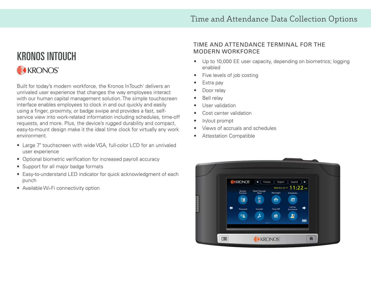### KRONOS INTOUCH KRONOS®

Built for today's modern workforce, the Kronos InTouch® delivers an unrivaled user experience that changes the way employees interact with our human capital management solution. The simple touchscreen interface enables employees to clock in and out quickly and easily using a finger, proximity, or badge swipe and provides a fast, selfservice view into work-related information including schedules, time-off requests, and more. Plus, the device's rugged durability and compact, easy-to-mount design make it the ideal time clock for virtually any work environment.

- Large 7" touchscreen with wide VGA, full-color LCD for an unrivaled user experience
- Optional biometric verification for increased payroll accuracy
- Support for all major badge formats
- Easy-to-understand LED indicator for quick acknowledgment of each punch
- Available Wi-Fi connectivity option

### TIME AND ATTENDANCE TERMINAL FOR THE MODERN WORKFORCE

- Up to 10,000 EE user capacity, depending on biometrics; logging enabled
- Five levels of job costing
- Extra pay
- Door relay
- Bell relay
- User validation
- Cost center validation
- In/out prompt
- Views of accruals and schedules
- Attestation Compatible